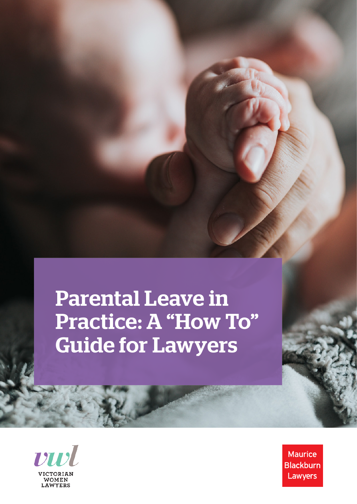Parental Leave in Practice: A "How To" Guide for Lawyers



**Maurice Blackburn** Lawyers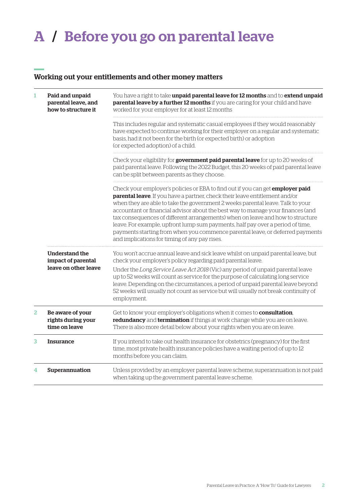# A / Before you go on parental leave

#### Working out your entitlements and other money matters

| 1 | Paid and unpaid<br>parental leave, and<br>how to structure it | You have a right to take unpaid parental leave for 12 months and to extend unpaid<br>parental leave by a further 12 months if you are caring for your child and have<br>worked for your employer for at least 12 months                                                                                                                                                                                                                                                                                                                                                                                                                         |  |
|---|---------------------------------------------------------------|-------------------------------------------------------------------------------------------------------------------------------------------------------------------------------------------------------------------------------------------------------------------------------------------------------------------------------------------------------------------------------------------------------------------------------------------------------------------------------------------------------------------------------------------------------------------------------------------------------------------------------------------------|--|
|   |                                                               | This includes regular and systematic casual employees if they would reasonably<br>have expected to continue working for their employer on a regular and systematic<br>basis, had it not been for the birth (or expected birth) or adoption<br>(or expected adoption) of a child.                                                                                                                                                                                                                                                                                                                                                                |  |
|   |                                                               | Check your eligibility for government paid parental leave for up to 20 weeks of<br>paid parental leave. Following the 2022 Budget, this 20 weeks of paid parental leave<br>can be split between parents as they choose.                                                                                                                                                                                                                                                                                                                                                                                                                         |  |
|   |                                                               | Check your employer's policies or EBA to find out if you can get <i>employer paid</i><br>parental leave. If you have a partner, check their leave entitlement and/or<br>when they are able to take the government 2 weeks parental leave. Talk to your<br>accountant or financial advisor about the best way to manage your finances (and<br>tax consequences of different arrangements) when on leave and how to structure<br>leave. For example, upfront lump sum payments, half pay over a period of time,<br>payments starting from when you commence parental leave, or deferred payments<br>and implications for timing of any pay rises. |  |
|   | Understand the<br>impact of parental<br>leave on other leave  | You won't accrue annual leave and sick leave whilst on unpaid parental leave, but<br>check your employer's policy regarding paid parental leave.<br>Under the Long Service Leave Act 2018 (Vic) any period of unpaid parental leave<br>up to 52 weeks will count as service for the purpose of calculating long service<br>leave. Depending on the circumstances, a period of unpaid parental leave beyond<br>52 weeks will usually not count as service but will usually not break continuity of<br>employment.                                                                                                                                |  |
| 2 | Be aware of your<br>rights during your<br>time on leave       | Get to know your employer's obligations when it comes to <b>consultation</b> ,<br>redundancy and termination if things at work change while you are on leave.<br>There is also more detail below about your rights when you are on leave.                                                                                                                                                                                                                                                                                                                                                                                                       |  |
| 3 | <b>Insurance</b>                                              | If you intend to take out health insurance for obstetrics (pregnancy) for the first<br>time, most private health insurance policies have a waiting period of up to 12<br>months before you can claim.                                                                                                                                                                                                                                                                                                                                                                                                                                           |  |
| 4 | Superannuation                                                | Unless provided by an employer parental leave scheme, superannuation is not paid<br>when taking up the government parental leave scheme.                                                                                                                                                                                                                                                                                                                                                                                                                                                                                                        |  |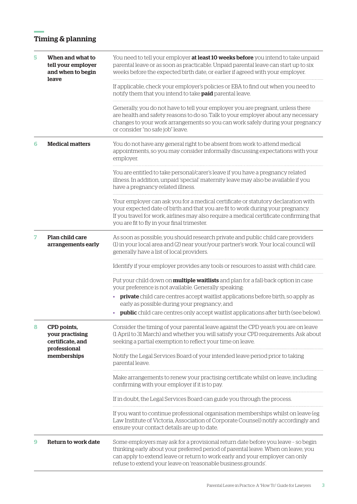## Timing & planning

| 5 | When and what to<br>tell your employer<br>and when to begin<br>leave              | You need to tell your employer at least 10 weeks before you intend to take unpaid<br>parental leave or as soon as practicable. Unpaid parental leave can start up to six<br>weeks before the expected birth date, or earlier if agreed with your employer.                                                            |
|---|-----------------------------------------------------------------------------------|-----------------------------------------------------------------------------------------------------------------------------------------------------------------------------------------------------------------------------------------------------------------------------------------------------------------------|
|   |                                                                                   | If applicable, check your employer's policies or EBA to find out when you need to<br>notify them that you intend to take <b>paid</b> parental leave.                                                                                                                                                                  |
|   |                                                                                   | Generally, you do not have to tell your employer you are pregnant, unless there<br>are health and safety reasons to do so. Talk to your employer about any necessary<br>changes to your work arrangements so you can work safely during your pregnancy<br>or consider "no safe job" leave.                            |
| 6 | <b>Medical matters</b>                                                            | You do not have any general right to be absent from work to attend medical<br>appointments, so you may consider informally discussing expectations with your<br>employer.                                                                                                                                             |
|   |                                                                                   | You are entitled to take personal/carer's leave if you have a pregnancy related<br>illness. In addition, unpaid 'special' maternity leave may also be available if you<br>have a pregnancy-related illness.                                                                                                           |
|   |                                                                                   | Your employer can ask you for a medical certificate or statutory declaration with<br>your expected date of birth and that you are fit to work during your pregnancy.<br>If you travel for work, airlines may also require a medical certificate confirming that<br>you are fit to fly in your final trimester.        |
| 7 | Plan child care<br>arrangements early                                             | As soon as possible, you should research private and public child care providers<br>(1) in your local area and (2) near your/your partner's work. Your local council will<br>generally have a list of local providers.                                                                                                |
|   |                                                                                   | Identify if your employer provides any tools or resources to assist with child care.                                                                                                                                                                                                                                  |
|   |                                                                                   | Put your child down on <b>multiple waitlists</b> and plan for a fall-back option in case<br>your preference is not available. Generally speaking:                                                                                                                                                                     |
|   |                                                                                   | private child care centres accept waitlist applications before birth, so apply as<br>$\bullet$<br>early as possible during your pregnancy; and                                                                                                                                                                        |
|   |                                                                                   | <b>public</b> child care centres only accept waitlist applications after birth (see below).                                                                                                                                                                                                                           |
| 8 | CPD points,<br>your practising<br>certificate, and<br>professional<br>memberships | Consider the timing of your parental leave against the CPD year/s you are on leave<br>(1 April to 31 March) and whether you will satisfy your CPD requirements. Ask about<br>seeking a partial exemption to reflect your time on leave.                                                                               |
|   |                                                                                   | Notify the Legal Services Board of your intended leave period prior to taking<br>parental leave.                                                                                                                                                                                                                      |
|   |                                                                                   | Make arrangements to renew your practising certificate whilst on leave, including<br>confirming with your employer if it is to pay.                                                                                                                                                                                   |
|   |                                                                                   | If in doubt, the Legal Services Board can guide you through the process.                                                                                                                                                                                                                                              |
|   |                                                                                   | If you want to continue professional organisation memberships whilst on leave (eg<br>Law Institute of Victoria, Association of Corporate Counsel) notify accordingly and<br>ensure your contact details are up to date.                                                                                               |
| 9 | Return to work date                                                               | Some employers may ask for a provisional return date before you leave - so begin<br>thinking early about your preferred period of parental leave. When on leave, you<br>can apply to extend leave or return to work early and your employer can only<br>refuse to extend your leave on 'reasonable business grounds'. |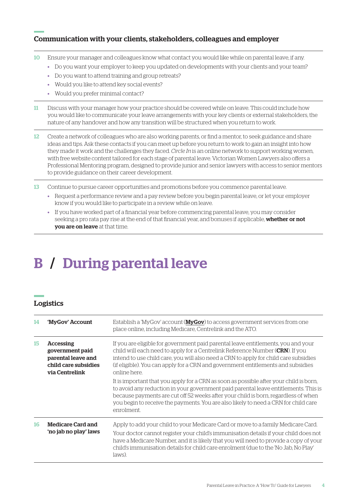### Communication with your clients, stakeholders, colleagues and employer

- 10 Ensure your manager and colleagues know what contact you would like while on parental leave, if any.
	- Do you want your employer to keep you updated on developments with your clients and your team?
	- Do you want to attend training and group retreats?
	- Would you like to attend key social events?
	- Would you prefer minimal contact?
- 11 Discuss with your manager how your practice should be covered while on leave. This could include how you would like to communicate your leave arrangements with your key clients or external stakeholders, the nature of any handover and how any transition will be structured when you return to work.
- 12 Create a network of colleagues who are also working parents, or find a mentor, to seek guidance and share ideas and tips. Ask these contacts if you can meet up before you return to work to gain an insight into how they made it work and the challenges they faced. *Circle In* is an online network to support working women, with free website content tailored for each stage of parental leave. Victorian Women Lawyers also offers a Professional Mentoring program, designed to provide junior and senior lawyers with access to senior mentors to provide guidance on their career development.
- 13 Continue to pursue career opportunities and promotions before you commence parental leave.
	- Request a performance review and a pay review before you begin parental leave, or let your employer know if you would like to participate in a review while on leave.
	- If you have worked part of a financial year before commencing parental leave, you may consider seeking a pro rata pay rise at the end of that financial year, and bonuses if applicable, whether or not you are on leave at that time.

# B / During parental leave

#### Logistics

| 14 | 'MyGov' Account                                                                                     | Establish a 'MyGov' account (MyGov) to access government services from one<br>place online, including Medicare, Centrelink and the ATO.                                                                                                                                                                                                                                  |
|----|-----------------------------------------------------------------------------------------------------|--------------------------------------------------------------------------------------------------------------------------------------------------------------------------------------------------------------------------------------------------------------------------------------------------------------------------------------------------------------------------|
| 15 | <b>Accessing</b><br>government paid<br>parental leave and<br>child care subsidies<br>via Centrelink | If you are eligible for government paid parental leave entitlements, you and your<br>child will each need to apply for a Centrelink Reference Number ( <b>CRN</b> ). If you<br>intend to use child care, you will also need a CRN to apply for child care subsidies<br>(if eligible). You can apply for a CRN and government entitlements and subsidies<br>online here.  |
|    |                                                                                                     | It is important that you apply for a CRN as soon as possible after your child is born,<br>to avoid any reduction in your government paid parental leave entitlements. This is<br>because payments are cut off 52 weeks after your child is born, regardless of when<br>you begin to receive the payments. You are also likely to need a CRN for child care<br>enrolment. |
| 16 | <b>Medicare Card and</b><br>'no jab no play' laws                                                   | Apply to add your child to your Medicare Card or move to a family Medicare Card.<br>Your doctor cannot register your child's immunisation details if your child does not<br>have a Medicare Number, and it is likely that you will need to provide a copy of your<br>child's immunisation details for child care enrolment (due to the 'No Jab, No Play'<br>laws).       |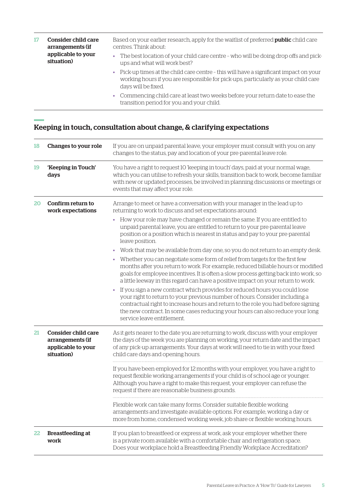| 17 | Consider child care<br>arrangements (if<br>applicable to your<br>situation) | Based on your earlier research, apply for the waitlist of preferred <b>public</b> child care<br>centres. Think about:<br>The best location of your child care centre - who will be doing drop offs and pick-<br>$\bullet$ .<br>ups and what will work best? |
|----|-----------------------------------------------------------------------------|-------------------------------------------------------------------------------------------------------------------------------------------------------------------------------------------------------------------------------------------------------------|
|    |                                                                             | • Pick-up times at the child care centre - this will have a significant impact on your<br>working hours if you are responsible for pick-ups, particularly as your child care<br>days will be fixed.                                                         |
|    |                                                                             | • Commencing child care at least two weeks before your return date to ease the<br>transition period for you and your child.                                                                                                                                 |

#### Keeping in touch, consultation about change, & clarifying expectations

| 18 | Changes to your role                                                               | If you are on unpaid parental leave, your employer must consult with you on any<br>changes to the status, pay and location of your pre-parental leave role.                                                                                                                                                                                                                                                                                        |
|----|------------------------------------------------------------------------------------|----------------------------------------------------------------------------------------------------------------------------------------------------------------------------------------------------------------------------------------------------------------------------------------------------------------------------------------------------------------------------------------------------------------------------------------------------|
| 19 | 'Keeping in Touch'<br>days                                                         | You have a right to request 10 'keeping in touch' days, paid at your normal wage,<br>which you can utilise to refresh your skills, transition back to work, become familiar<br>with new or updated processes, be involved in planning discussions or meetings or<br>events that may affect your role.                                                                                                                                              |
| 20 | Confirm return to<br>work expectations                                             | Arrange to meet or have a conversation with your manager in the lead up to<br>returning to work to discuss and set expectations around:                                                                                                                                                                                                                                                                                                            |
|    |                                                                                    | How your role may have changed or remain the same. If you are entitled to<br>٠<br>unpaid parental leave, you are entitled to return to your pre-parental leave<br>position or a position which is nearest in status and pay to your pre-parental<br>leave position.                                                                                                                                                                                |
|    |                                                                                    | Work that may be available from day one, so you do not return to an empty desk.<br>۰<br>Whether you can negotiate some form of relief from targets for the first few<br>$\bullet$<br>months after you return to work. For example, reduced billable hours or modified<br>goals for employee incentives. It is often a slow process getting back into work, so<br>a little leeway in this regard can have a positive impact on your return to work. |
|    |                                                                                    | If you sign a new contract which provides for reduced hours you could lose<br>۰<br>your right to return to your previous number of hours. Consider including a<br>contractual right to increase hours and return to the role you had before signing<br>the new contract. In some cases reducing your hours can also reduce your long<br>service leave entitlement.                                                                                 |
| 21 | <b>Consider child care</b><br>arrangements (if<br>applicable to your<br>situation) | As it gets nearer to the date you are returning to work, discuss with your employer<br>the days of the week you are planning on working, your return date and the impact<br>of any pick-up arrangements. Your days at work will need to tie in with your fixed<br>child care days and opening hours.                                                                                                                                               |
|    |                                                                                    | If you have been employed for 12 months with your employer, you have a right to<br>request flexible working arrangements if your child is of school age or younger.<br>Although you have a right to make this request, your employer can refuse the<br>request if there are reasonable business grounds.                                                                                                                                           |
|    |                                                                                    | Flexible work can take many forms. Consider suitable flexible working<br>arrangements and investigate available options. For example, working a day or<br>more from home, condensed working week, job share or flexible working hours.                                                                                                                                                                                                             |
| 22 | <b>Breastfeeding at</b><br>work                                                    | If you plan to breastfeed or express at work, ask your employer whether there<br>is a private room available with a comfortable chair and refrigeration space.<br>Does your workplace hold a Breastfeeding Friendly Workplace Accreditation?                                                                                                                                                                                                       |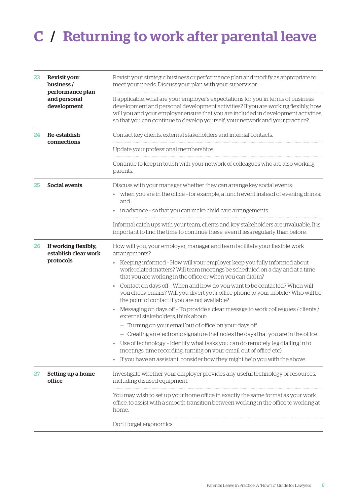# C / Returning to work after parental leave

| 23 | <b>Revisit your</b><br>business /<br>performance plan<br>and personal<br>development | Revisit your strategic business or performance plan and modify as appropriate to<br>meet your needs. Discuss your plan with your supervisor.                                                                                                                                                                                                  |
|----|--------------------------------------------------------------------------------------|-----------------------------------------------------------------------------------------------------------------------------------------------------------------------------------------------------------------------------------------------------------------------------------------------------------------------------------------------|
|    |                                                                                      | If applicable, what are your employer's expectations for you in terms of business<br>development and personal development activities? If you are working flexibly, how<br>will you and your employer ensure that you are included in development activities,<br>so that you can continue to develop yourself, your network and your practice? |
| 24 | Re-establish<br>connections                                                          | Contact key clients, external stakeholders and internal contacts.                                                                                                                                                                                                                                                                             |
|    |                                                                                      | Update your professional memberships.                                                                                                                                                                                                                                                                                                         |
|    |                                                                                      | Continue to keep in touch with your network of colleagues who are also working<br>parents.                                                                                                                                                                                                                                                    |
| 25 | <b>Social events</b>                                                                 | Discuss with your manager whether they can arrange key social events:<br>when you are in the office - for example, a lunch event instead of evening drinks;<br>and<br>in advance - so that you can make child care arrangements.                                                                                                              |
|    |                                                                                      | Informal catch ups with your team, clients and key stakeholders are invaluable. It is<br>important to find the time to continue these, even if less regularly than before.                                                                                                                                                                    |
| 26 | If working flexibly,<br>establish clear work<br>protocols                            | How will you, your employer, manager and team facilitate your flexible work<br>arrangements?                                                                                                                                                                                                                                                  |
|    |                                                                                      | Keeping informed - How will your employer keep you fully informed about<br>٠<br>work-related matters? Will team meetings be scheduled on a day and at a time<br>that you are working in the office or when you can dial in?                                                                                                                   |
|    |                                                                                      | Contact on days off - When and how do you want to be contacted? When will<br>you check emails? Will you divert your office phone to your mobile? Who will be<br>the point of contact if you are not available?                                                                                                                                |
|    |                                                                                      | Messaging on days off - To provide a clear message to work colleagues / clients /<br>٠<br>external stakeholders, think about:                                                                                                                                                                                                                 |
|    |                                                                                      | - Turning on your email 'out of office' on your days off.                                                                                                                                                                                                                                                                                     |
|    |                                                                                      | - Creating an electronic signature that notes the days that you are in the office.                                                                                                                                                                                                                                                            |
|    |                                                                                      | Use of technology - Identify what tasks you can do remotely (eg dialling in to<br>meetings, time recording, turning on your email 'out of office' etc).                                                                                                                                                                                       |
|    |                                                                                      | If you have an assistant, consider how they might help you with the above.<br>۰                                                                                                                                                                                                                                                               |
| 27 | Setting up a home<br>office                                                          | Investigate whether your employer provides any useful technology or resources,<br>including disused equipment.                                                                                                                                                                                                                                |
|    |                                                                                      | You may wish to set up your home office in exactly the same format as your work<br>office, to assist with a smooth transition between working in the office to working at<br>home.                                                                                                                                                            |
|    |                                                                                      | Don't forget ergonomics!                                                                                                                                                                                                                                                                                                                      |